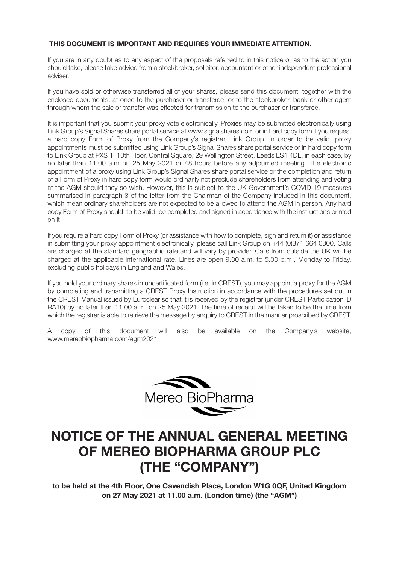## **THIS DOCUMENT IS IMPORTANT AND REQUIRES YOUR IMMEDIATE ATTENTION.**

If you are in any doubt as to any aspect of the proposals referred to in this notice or as to the action you should take, please take advice from a stockbroker, solicitor, accountant or other independent professional adviser.

If you have sold or otherwise transferred all of your shares, please send this document, together with the enclosed documents, at once to the purchaser or transferee, or to the stockbroker, bank or other agent through whom the sale or transfer was effected for transmission to the purchaser or transferee.

It is important that you submit your proxy vote electronically. Proxies may be submitted electronically using Link Group's Signal Shares share portal service at www.signalshares.com or in hard copy form if you request a hard copy Form of Proxy from the Company's registrar, Link Group. In order to be valid, proxy appointments must be submitted using Link Group's Signal Shares share portal service or in hard copy form to Link Group at PXS 1, 10th Floor, Central Square, 29 Wellington Street, Leeds LS1 4DL, in each case, by no later than 11.00 a.m on 25 May 2021 or 48 hours before any adjourned meeting. The electronic appointment of a proxy using Link Group's Signal Shares share portal service or the completion and return of a Form of Proxy in hard copy form would ordinarily not preclude shareholders from attending and voting at the AGM should they so wish. However, this is subject to the UK Government's COVID-19 measures summarised in paragraph 3 of the letter from the Chairman of the Company included in this document, which mean ordinary shareholders are not expected to be allowed to attend the AGM in person. Any hard copy Form of Proxy should, to be valid, be completed and signed in accordance with the instructions printed on it.

If you require a hard copy Form of Proxy (or assistance with how to complete, sign and return it) or assistance in submitting your proxy appointment electronically, please call Link Group on +44 (0)371 664 0300. Calls are charged at the standard geographic rate and will vary by provider. Calls from outside the UK will be charged at the applicable international rate. Lines are open 9.00 a.m. to 5.30 p.m., Monday to Friday, excluding public holidays in England and Wales.

If you hold your ordinary shares in uncertificated form (i.e. in CREST), you may appoint a proxy for the AGM by completing and transmitting a CREST Proxy Instruction in accordance with the procedures set out in the CREST Manual issued by Euroclear so that it is received by the registrar (under CREST Participation ID RA10) by no later than 11.00 a.m. on 25 May 2021. The time of receipt will be taken to be the time from which the registrar is able to retrieve the message by enquiry to CREST in the manner proscribed by CREST.

A copy of this document will also be available on the Company's website, www.mereobiopharma.com/agm2021



## **NOTICE OF THE ANNUAL GENERAL MEETING OF MEREO BIOPHARMA GROUP PLC (THE "COMPANY")**

**to be held at the 4th Floor, One Cavendish Place, London W1G 0QF, United Kingdom on 27 May 2021 at 11.00 a.m. (London time) (the "AGM")**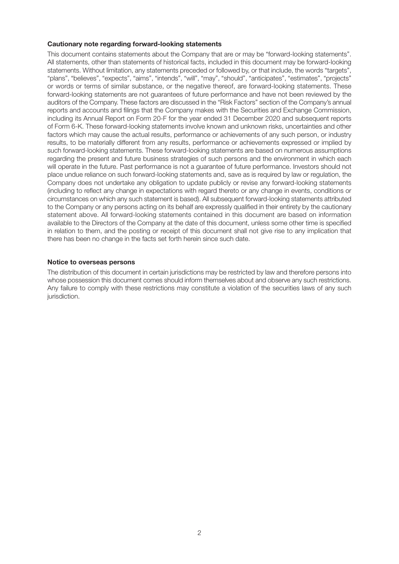#### **Cautionary note regarding forward-looking statements**

This document contains statements about the Company that are or may be "forward-looking statements". All statements, other than statements of historical facts, included in this document may be forward-looking statements. Without limitation, any statements preceded or followed by, or that include, the words "targets", "plans", "believes", "expects", "aims", "intends", "will", "may", "should", "anticipates", "estimates", "projects" or words or terms of similar substance, or the negative thereof, are forward-looking statements. These forward-looking statements are not guarantees of future performance and have not been reviewed by the auditors of the Company. These factors are discussed in the "Risk Factors" section of the Company's annual reports and accounts and filings that the Company makes with the Securities and Exchange Commission, including its Annual Report on Form 20-F for the year ended 31 December 2020 and subsequent reports of Form 6-K. These forward-looking statements involve known and unknown risks, uncertainties and other factors which may cause the actual results, performance or achievements of any such person, or industry results, to be materially different from any results, performance or achievements expressed or implied by such forward-looking statements. These forward-looking statements are based on numerous assumptions regarding the present and future business strategies of such persons and the environment in which each will operate in the future. Past performance is not a guarantee of future performance. Investors should not place undue reliance on such forward-looking statements and, save as is required by law or regulation, the Company does not undertake any obligation to update publicly or revise any forward-looking statements (including to reflect any change in expectations with regard thereto or any change in events, conditions or circumstances on which any such statement is based). All subsequent forward-looking statements attributed to the Company or any persons acting on its behalf are expressly qualified in their entirety by the cautionary statement above. All forward-looking statements contained in this document are based on information available to the Directors of the Company at the date of this document, unless some other time is specified in relation to them, and the posting or receipt of this document shall not give rise to any implication that there has been no change in the facts set forth herein since such date.

## **Notice to overseas persons**

The distribution of this document in certain jurisdictions may be restricted by law and therefore persons into whose possession this document comes should inform themselves about and observe any such restrictions. Any failure to comply with these restrictions may constitute a violation of the securities laws of any such jurisdiction.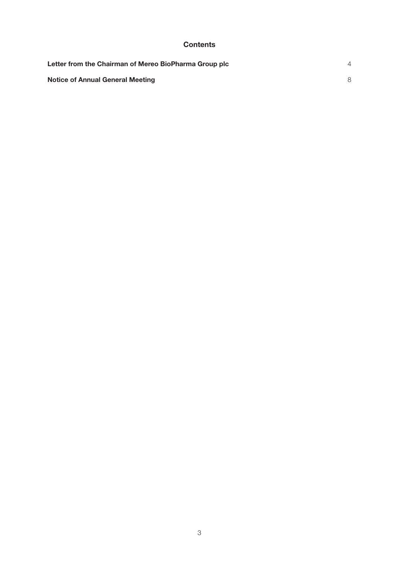## **Contents**

| Letter from the Chairman of Mereo BioPharma Group plc |  |
|-------------------------------------------------------|--|
| <b>Notice of Annual General Meeting</b>               |  |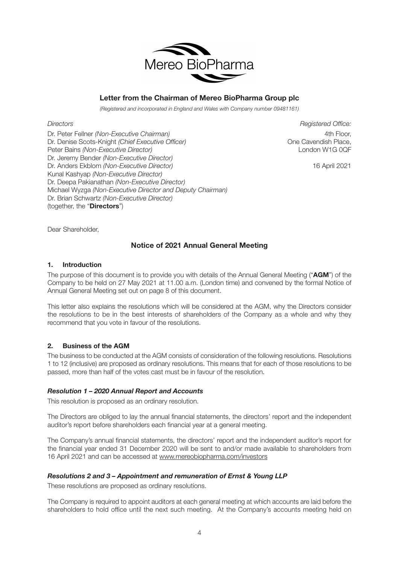

## **Letter from the Chairman of Mereo BioPharma Group plc**

*(Registered and incorporated in England and Wales with Company number 09481161)*

Dr. Peter Fellner *(Non-Executive Chairman)* 4th Floor, Dr. Denise Scots-Knight *(Chief Executive Officer)* **One Cavendish Place,** One Cavendish Place, Peter Bains *(Non-Executive Director)* **Conditable 2009 Conditable 2009 Conditable 2009 Conditable 2009 Conditable 200** Peter Bains *(Non-Executive Director)* Dr. Jeremy Bender *(Non-Executive Director)* Dr. Anders Ekblom *(Non-Executive Director)* 16 April 2021 Kunal Kashyap *(Non-Executive Director)* Dr. Deepa Pakianathan *(Non-Executive Director)* Michael Wyzga *(Non-Executive Director and Deputy Chairman)* Dr. Brian Schwartz *(Non-Executive Director)* (together, the "**Directors**")

*Directors Registered Office:*

Dear Shareholder,

## **Notice of 2021 Annual General Meeting**

## **1. Introduction**

The purpose of this document is to provide you with details of the Annual General Meeting ("**AGM**") of the Company to be held on 27 May 2021 at 11.00 a.m. (London time) and convened by the formal Notice of Annual General Meeting set out on page 8 of this document.

This letter also explains the resolutions which will be considered at the AGM, why the Directors consider the resolutions to be in the best interests of shareholders of the Company as a whole and why they recommend that you vote in favour of the resolutions.

## **2. Business of the AGM**

The business to be conducted at the AGM consists of consideration of the following resolutions. Resolutions 1 to 12 (inclusive) are proposed as ordinary resolutions. This means that for each of those resolutions to be passed, more than half of the votes cast must be in favour of the resolution.

## *Resolution 1 – 2020 Annual Report and Accounts*

This resolution is proposed as an ordinary resolution.

The Directors are obliged to lay the annual financial statements, the directors' report and the independent auditor's report before shareholders each financial year at a general meeting.

The Company's annual financial statements, the directors' report and the independent auditor's report for the financial year ended 31 December 2020 will be sent to and/or made available to shareholders from 16 April 2021 and can be accessed at www.mereobiopharma.com/investors

## *Resolutions 2 and 3 – Appointment and remuneration of Ernst & Young LLP*

These resolutions are proposed as ordinary resolutions.

The Company is required to appoint auditors at each general meeting at which accounts are laid before the shareholders to hold office until the next such meeting. At the Company's accounts meeting held on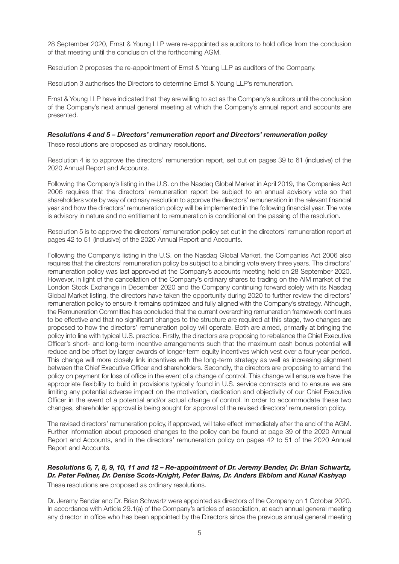28 September 2020, Ernst & Young LLP were re-appointed as auditors to hold office from the conclusion of that meeting until the conclusion of the forthcoming AGM.

Resolution 2 proposes the re-appointment of Ernst & Young LLP as auditors of the Company.

Resolution 3 authorises the Directors to determine Ernst & Young LLP's remuneration.

Ernst & Young LLP have indicated that they are willing to act as the Company's auditors until the conclusion of the Company's next annual general meeting at which the Company's annual report and accounts are presented.

#### *Resolutions 4 and 5 – Directors' remuneration report and Directors' remuneration policy*

These resolutions are proposed as ordinary resolutions.

Resolution 4 is to approve the directors' remuneration report, set out on pages 39 to 61 (inclusive) of the 2020 Annual Report and Accounts.

Following the Company's listing in the U.S. on the Nasdaq Global Market in April 2019, the Companies Act 2006 requires that the directors' remuneration report be subject to an annual advisory vote so that shareholders vote by way of ordinary resolution to approve the directors' remuneration in the relevant financial year and how the directors' remuneration policy will be implemented in the following financial year. The vote is advisory in nature and no entitlement to remuneration is conditional on the passing of the resolution.

Resolution 5 is to approve the directors' remuneration policy set out in the directors' remuneration report at pages 42 to 51 (inclusive) of the 2020 Annual Report and Accounts.

Following the Company's listing in the U.S. on the Nasdaq Global Market, the Companies Act 2006 also requires that the directors' remuneration policy be subject to a binding vote every three years. The directors' remuneration policy was last approved at the Company's accounts meeting held on 28 September 2020. However, in light of the cancellation of the Company's ordinary shares to trading on the AIM market of the London Stock Exchange in December 2020 and the Company continuing forward solely with its Nasdaq Global Market listing, the directors have taken the opportunity during 2020 to further review the directors' remuneration policy to ensure it remains optimized and fully aligned with the Company's strategy. Although, the Remuneration Committee has concluded that the current overarching remuneration framework continues to be effective and that no significant changes to the structure are required at this stage, two changes are proposed to how the directors' remuneration policy will operate. Both are aimed, primarily at bringing the policy into line with typical U.S. practice. Firstly, the directors are proposing to rebalance the Chief Executive Officer's short- and long-term incentive arrangements such that the maximum cash bonus potential will reduce and be offset by larger awards of longer-term equity incentives which vest over a four-year period. This change will more closely link incentives with the long-term strategy as well as increasing alignment between the Chief Executive Officer and shareholders. Secondly, the directors are proposing to amend the policy on payment for loss of office in the event of a change of control. This change will ensure we have the appropriate flexibility to build in provisions typically found in U.S. service contracts and to ensure we are limiting any potential adverse impact on the motivation, dedication and objectivity of our Chief Executive Officer in the event of a potential and/or actual change of control. In order to accommodate these two changes, shareholder approval is being sought for approval of the revised directors' remuneration policy.

The revised directors' remuneration policy, if approved, will take effect immediately after the end of the AGM. Further information about proposed changes to the policy can be found at page 39 of the 2020 Annual Report and Accounts, and in the directors' remuneration policy on pages 42 to 51 of the 2020 Annual Report and Accounts.

## *Resolutions 6, 7, 8, 9, 10, 11 and 12 – Re-appointment of Dr. Jeremy Bender, Dr. Brian Schwartz, Dr. Peter Fellner, Dr. Denise Scots-Knight, Peter Bains, Dr. Anders Ekblom and Kunal Kashyap*

These resolutions are proposed as ordinary resolutions.

Dr. Jeremy Bender and Dr. Brian Schwartz were appointed as directors of the Company on 1 October 2020. In accordance with Article 29.1(a) of the Company's articles of association, at each annual general meeting any director in office who has been appointed by the Directors since the previous annual general meeting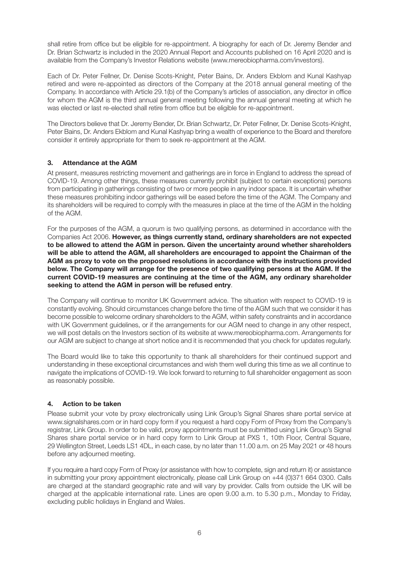shall retire from office but be eligible for re-appointment. A biography for each of Dr. Jeremy Bender and Dr. Brian Schwartz is included in the 2020 Annual Report and Accounts published on 16 April 2020 and is available from the Company's Investor Relations website (www.mereobiopharma.com/investors).

Each of Dr. Peter Fellner, Dr. Denise Scots-Knight, Peter Bains, Dr. Anders Ekblom and Kunal Kashyap retired and were re-appointed as directors of the Company at the 2018 annual general meeting of the Company. In accordance with Article 29.1(b) of the Company's articles of association, any director in office for whom the AGM is the third annual general meeting following the annual general meeting at which he was elected or last re-elected shall retire from office but be eligible for re-appointment.

The Directors believe that Dr. Jeremy Bender, Dr. Brian Schwartz, Dr. Peter Fellner, Dr. Denise Scots-Knight, Peter Bains, Dr. Anders Ekblom and Kunal Kashyap bring a wealth of experience to the Board and therefore consider it entirely appropriate for them to seek re-appointment at the AGM.

## **3. Attendance at the AGM**

At present, measures restricting movement and gatherings are in force in England to address the spread of COVID-19. Among other things, these measures currently prohibit (subject to certain exceptions) persons from participating in gatherings consisting of two or more people in any indoor space. It is uncertain whether these measures prohibiting indoor gatherings will be eased before the time of the AGM. The Company and its shareholders will be required to comply with the measures in place at the time of the AGM in the holding of the AGM.

For the purposes of the AGM, a quorum is two qualifying persons, as determined in accordance with the Companies Act 2006. **However, as things currently stand, ordinary shareholders are not expected to be allowed to attend the AGM in person. Given the uncertainty around whether shareholders will be able to attend the AGM, all shareholders are encouraged to appoint the Chairman of the AGM as proxy to vote on the proposed resolutions in accordance with the instructions provided below. The Company will arrange for the presence of two qualifying persons at the AGM. If the current COVID-19 measures are continuing at the time of the AGM, any ordinary shareholder seeking to attend the AGM in person will be refused entry**.

The Company will continue to monitor UK Government advice. The situation with respect to COVID-19 is constantly evolving. Should circumstances change before the time of the AGM such that we consider it has become possible to welcome ordinary shareholders to the AGM, within safety constraints and in accordance with UK Government guidelines, or if the arrangements for our AGM need to change in any other respect, we will post details on the Investors section of its website at www.mereobiopharma.com. Arrangements for our AGM are subject to change at short notice and it is recommended that you check for updates regularly.

The Board would like to take this opportunity to thank all shareholders for their continued support and understanding in these exceptional circumstances and wish them well during this time as we all continue to navigate the implications of COVID-19. We look forward to returning to full shareholder engagement as soon as reasonably possible.

## **4. Action to be taken**

Please submit your vote by proxy electronically using Link Group's Signal Shares share portal service at www.signalshares.com or in hard copy form if you request a hard copy Form of Proxy from the Company's registrar, Link Group. In order to be valid, proxy appointments must be submitted using Link Group's Signal Shares share portal service or in hard copy form to Link Group at PXS 1, 10th Floor, Central Square, 29 Wellington Street, Leeds LS1 4DL, in each case, by no later than 11.00 a.m. on 25 May 2021 or 48 hours before any adjourned meeting.

If you require a hard copy Form of Proxy (or assistance with how to complete, sign and return it) or assistance in submitting your proxy appointment electronically, please call Link Group on +44 (0)371 664 0300. Calls are charged at the standard geographic rate and will vary by provider. Calls from outside the UK will be charged at the applicable international rate. Lines are open 9.00 a.m. to 5.30 p.m., Monday to Friday, excluding public holidays in England and Wales.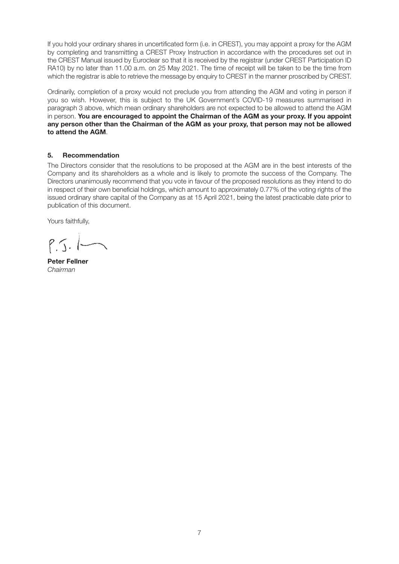If you hold your ordinary shares in uncertificated form (i.e. in CREST), you may appoint a proxy for the AGM by completing and transmitting a CREST Proxy Instruction in accordance with the procedures set out in the CREST Manual issued by Euroclear so that it is received by the registrar (under CREST Participation ID RA10) by no later than 11.00 a.m. on 25 May 2021. The time of receipt will be taken to be the time from which the registrar is able to retrieve the message by enquiry to CREST in the manner proscribed by CREST.

Ordinarily, completion of a proxy would not preclude you from attending the AGM and voting in person if you so wish. However, this is subject to the UK Government's COVID-19 measures summarised in paragraph 3 above, which mean ordinary shareholders are not expected to be allowed to attend the AGM in person. **You are encouraged to appoint the Chairman of the AGM as your proxy. If you appoint any person other than the Chairman of the AGM as your proxy, that person may not be allowed to attend the AGM**.

## **5. Recommendation**

The Directors consider that the resolutions to be proposed at the AGM are in the best interests of the Company and its shareholders as a whole and is likely to promote the success of the Company. The Directors unanimously recommend that you vote in favour of the proposed resolutions as they intend to do in respect of their own beneficial holdings, which amount to approximately 0.77% of the voting rights of the issued ordinary share capital of the Company as at 15 April 2021, being the latest practicable date prior to publication of this document.

Yours faithfully,

 $P.S.$ 

**Peter Fellner** *Chairman*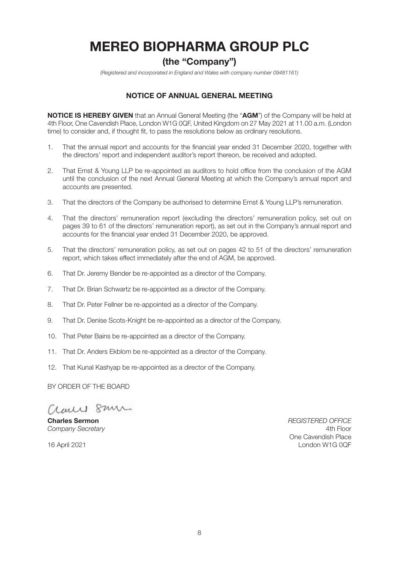# **MEREO BIOPHARMA GROUP PLC**

## **(the "Company")**

*(Registered and incorporated in England and Wales with company number 09481161)*

## **NOTICE OF ANNUAL GENERAL MEETING**

**NOTICE IS HEREBY GIVEN** that an Annual General Meeting (the "**AGM**") of the Company will be held at 4th Floor, One Cavendish Place, London W1G 0QF, United Kingdom on 27 May 2021 at 11.00 a.m. (London time) to consider and, if thought fit, to pass the resolutions below as ordinary resolutions.

- 1. That the annual report and accounts for the financial year ended 31 December 2020, together with the directors' report and independent auditor's report thereon, be received and adopted.
- 2. That Ernst & Young LLP be re-appointed as auditors to hold office from the conclusion of the AGM until the conclusion of the next Annual General Meeting at which the Company's annual report and accounts are presented.
- 3. That the directors of the Company be authorised to determine Ernst & Young LLP's remuneration.
- 4. That the directors' remuneration report (excluding the directors' remuneration policy, set out on pages 39 to 61 of the directors' remuneration report), as set out in the Company's annual report and accounts for the financial year ended 31 December 2020, be approved.
- 5. That the directors' remuneration policy, as set out on pages 42 to 51 of the directors' remuneration report, which takes effect immediately after the end of AGM, be approved.
- 6. That Dr. Jeremy Bender be re-appointed as a director of the Company.
- 7. That Dr. Brian Schwartz be re-appointed as a director of the Company.
- 8. That Dr. Peter Fellner be re-appointed as a director of the Company.
- 9. That Dr. Denise Scots-Knight be re-appointed as a director of the Company.
- 10. That Peter Bains be re-appointed as a director of the Company.
- 11. That Dr. Anders Ekblom be re-appointed as a director of the Company.
- 12. That Kunal Kashyap be re-appointed as a director of the Company.

BY ORDER OF THE BOARD

Claire 8mm

**Charles Sermon** *REGISTERED OFFICE Company Secretary* 4th Floor One Cavendish Place 16 April 2021 London W1G 0QF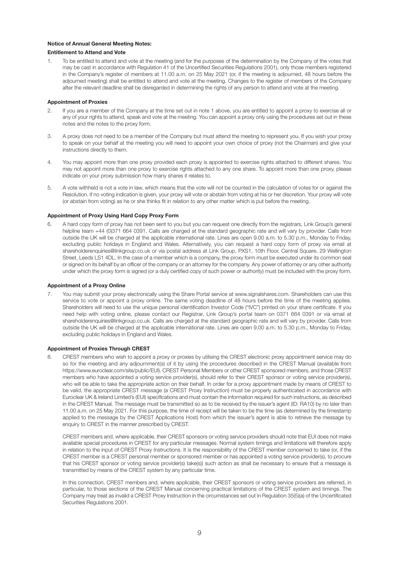#### **Notice of Annual General Meeting Notes:**

#### **Entitlement to Attend and Vote**

1. To be entitled to attend and vote at the meeting (and for the purposes of the determination by the Company of the votes that may be cast in accordance with Regulation 41 of the Uncertified Securities Regulations 2001), only those members registered in the Company's register of members at 11.00 a.m. on 25 May 2021 (or, if the meeting is adjourned, 48 hours before the adjourned meeting) shall be entitled to attend and vote at the meeting. Changes to the register of members of the Company after the relevant deadline shall be disregarded in determining the rights of any person to attend and vote at the meeting.

#### **Appointment of Proxies**

- 2. If you are a member of the Company at the time set out in note 1 above, you are entitled to appoint a proxy to exercise all or any of your rights to attend, speak and vote at the meeting. You can appoint a proxy only using the procedures set out in these notes and the notes to the proxy form.
- 3. A proxy does not need to be a member of the Company but must attend the meeting to represent you. If you wish your proxy to speak on your behalf at the meeting you will need to appoint your own choice of proxy (not the Chairman) and give your instructions directly to them.
- 4. You may appoint more than one proxy provided each proxy is appointed to exercise rights attached to different shares. You may not appoint more than one proxy to exercise rights attached to any one share. To appoint more than one proxy, please indicate on your proxy submission how many shares it relates to.
- 5. A vote withheld is not a vote in law, which means that the vote will not be counted in the calculation of votes for or against the Resolution. If no voting indication is given, your proxy will vote or abstain from voting at his or her discretion. Your proxy will vote (or abstain from voting) as he or she thinks fit in relation to any other matter which is put before the meeting.

#### **Appointment of Proxy Using Hard Copy Proxy Form**

6. A hard copy form of proxy has not been sent to you but you can request one directly from the registrars, Link Group's general helpline team +44 (0)371 664 0391. Calls are charged at the standard geographic rate and will vary by provider. Calls from outside the UK will be charged at the applicable international rate. Lines are open 9.00 a.m. to 5.30 p.m., Monday to Friday, excluding public holidays in England and Wales. Alternatively, you can request a hard copy form of proxy via email at shareholderenquiries@linkgroup.co.uk or via postal address at Link Group, PXS1, 10th Floor, Central Square, 29 Wellington Street, Leeds LS1 4DL. In the case of a member which is a company, the proxy form must be executed under its common seal or signed on its behalf by an officer of the company or an attorney for the company. Any power of attorney or any other authority under which the proxy form is signed (or a duly certified copy of such power or authority) must be included with the proxy form.

#### **Appointment of a Proxy Online**

7. You may submit your proxy electronically using the Share Portal service at www.signalshares.com. Shareholders can use this service to vote or appoint a proxy online. The same voting deadline of 48 hours before the time of the meeting applies. Shareholders will need to use the unique personal identification Investor Code ("IVC") printed on your share certificate. If you need help with voting online, please contact our Registrar, Link Group's portal team on 0371 664 0391 or via email at shareholderenquiries@linkgroup.co.uk. Calls are charged at the standard geographic rate and will vary by provider. Calls from outside the UK will be charged at the applicable international rate. Lines are open 9.00 a.m. to 5.30 p.m., Monday to Friday, excluding public holidays in England and Wales.

#### **Appointment of Proxies Through CREST**

8. CREST members who wish to appoint a proxy or proxies by utilising the CREST electronic proxy appointment service may do so for the meeting and any adjournment(s) of it by using the procedures described in the CREST Manual (available from https://www.euroclear.com/site/public/EUI). CREST Personal Members or other CREST sponsored members, and those CREST members who have appointed a voting service provider(s), should refer to their CREST sponsor or voting service provider(s), who will be able to take the appropriate action on their behalf. In order for a proxy appointment made by means of CREST to be valid, the appropriate CREST message (a CREST Proxy Instruction) must be properly authenticated in accordance with Euroclear UK & Ireland Limited's (EUI) specifications and must contain the information required for such instructions, as described in the CREST Manual. The message must be transmitted so as to be received by the issuer's agent (ID: RA10) by no later than 11.00 a.m. on 25 May 2021. For this purpose, the time of receipt will be taken to be the time (as determined by the timestamp applied to the message by the CREST Applications Host) from which the issuer's agent is able to retrieve the message by enquiry to CREST in the manner prescribed by CREST.

 CREST members and, where applicable, their CREST sponsors or voting service providers should note that EUI does not make available special procedures in CREST for any particular messages. Normal system timings and limitations will therefore apply in relation to the input of CREST Proxy Instructions. It is the responsibility of the CREST member concerned to take (or, if the CREST member is a CREST personal member or sponsored member or has appointed a voting service provider(s), to procure that his CREST sponsor or voting service provider(s) take(s)) such action as shall be necessary to ensure that a message is transmitted by means of the CREST system by any particular time.

 In this connection, CREST members and, where applicable, their CREST sponsors or voting service providers are referred, in particular, to those sections of the CREST Manual concerning practical limitations of the CREST system and timings. The Company may treat as invalid a CREST Proxy Instruction in the circumstances set out in Regulation 35(5)(a) of the Uncertificated Securities Regulations 2001.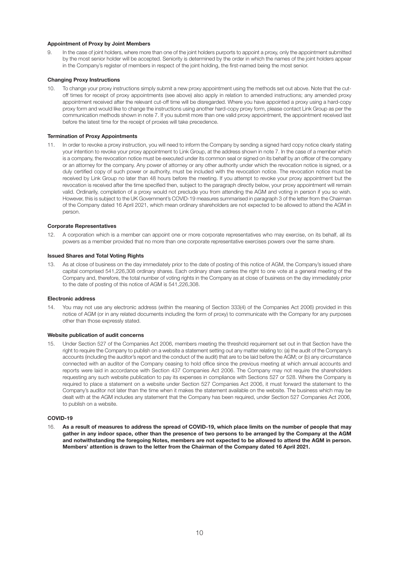#### **Appointment of Proxy by Joint Members**

In the case of joint holders, where more than one of the joint holders purports to appoint a proxy, only the appointment submitted by the most senior holder will be accepted. Seniority is determined by the order in which the names of the joint holders appear in the Company's register of members in respect of the joint holding, the first-named being the most senior.

#### **Changing Proxy Instructions**

10. To change your proxy instructions simply submit a new proxy appointment using the methods set out above. Note that the cutoff times for receipt of proxy appointments (see above) also apply in relation to amended instructions; any amended proxy appointment received after the relevant cut-off time will be disregarded. Where you have appointed a proxy using a hard-copy proxy form and would like to change the instructions using another hard-copy proxy form, please contact Link Group as per the communication methods shown in note 7. If you submit more than one valid proxy appointment, the appointment received last before the latest time for the receipt of proxies will take precedence.

#### **Termination of Proxy Appointments**

11. In order to revoke a proxy instruction, you will need to inform the Company by sending a signed hard copy notice clearly stating your intention to revoke your proxy appointment to Link Group, at the address shown in note 7. In the case of a member which is a company, the revocation notice must be executed under its common seal or signed on its behalf by an officer of the company or an attorney for the company. Any power of attorney or any other authority under which the revocation notice is signed, or a duly certified copy of such power or authority, must be included with the revocation notice. The revocation notice must be received by Link Group no later than 48 hours before the meeting. If you attempt to revoke your proxy appointment but the revocation is received after the time specified then, subject to the paragraph directly below, your proxy appointment will remain valid. Ordinarily, completion of a proxy would not preclude you from attending the AGM and voting in person if you so wish. However, this is subject to the UK Government's COVID-19 measures summarised in paragraph 3 of the letter from the Chairman of the Company dated 16 April 2021, which mean ordinary shareholders are not expected to be allowed to attend the AGM in person.

#### **Corporate Representatives**

12. A corporation which is a member can appoint one or more corporate representatives who may exercise, on its behalf, all its powers as a member provided that no more than one corporate representative exercises powers over the same share.

#### **Issued Shares and Total Voting Rights**

13. As at close of business on the day immediately prior to the date of posting of this notice of AGM, the Company's issued share capital comprised 541,226,308 ordinary shares. Each ordinary share carries the right to one vote at a general meeting of the Company and, therefore, the total number of voting rights in the Company as at close of business on the day immediately prior to the date of posting of this notice of AGM is 541,226,308.

#### **Electronic address**

14. You may not use any electronic address (within the meaning of Section 333(4) of the Companies Act 2006) provided in this notice of AGM (or in any related documents including the form of proxy) to communicate with the Company for any purposes other than those expressly stated.

#### **Website publication of audit concerns**

15. Under Section 527 of the Companies Act 2006, members meeting the threshold requirement set out in that Section have the right to require the Company to publish on a website a statement setting out any matter relating to: (a) the audit of the Company's accounts (including the auditor's report and the conduct of the audit) that are to be laid before the AGM; or (b) any circumstance connected with an auditor of the Company ceasing to hold office since the previous meeting at which annual accounts and reports were laid in accordance with Section 437 Companies Act 2006. The Company may not require the shareholders requesting any such website publication to pay its expenses in compliance with Sections 527 or 528. Where the Company is required to place a statement on a website under Section 527 Companies Act 2006, it must forward the statement to the Company's auditor not later than the time when it makes the statement available on the website. The business which may be dealt with at the AGM includes any statement that the Company has been required, under Section 527 Companies Act 2006, to publish on a website.

#### **COVID-19**

16. **As a result of measures to address the spread of COVID-19, which place limits on the number of people that may gather in any indoor space, other than the presence of two persons to be arranged by the Company at the AGM and notwithstanding the foregoing Notes, members are not expected to be allowed to attend the AGM in person. Members' attention is drawn to the letter from the Chairman of the Company dated 16 April 2021.**